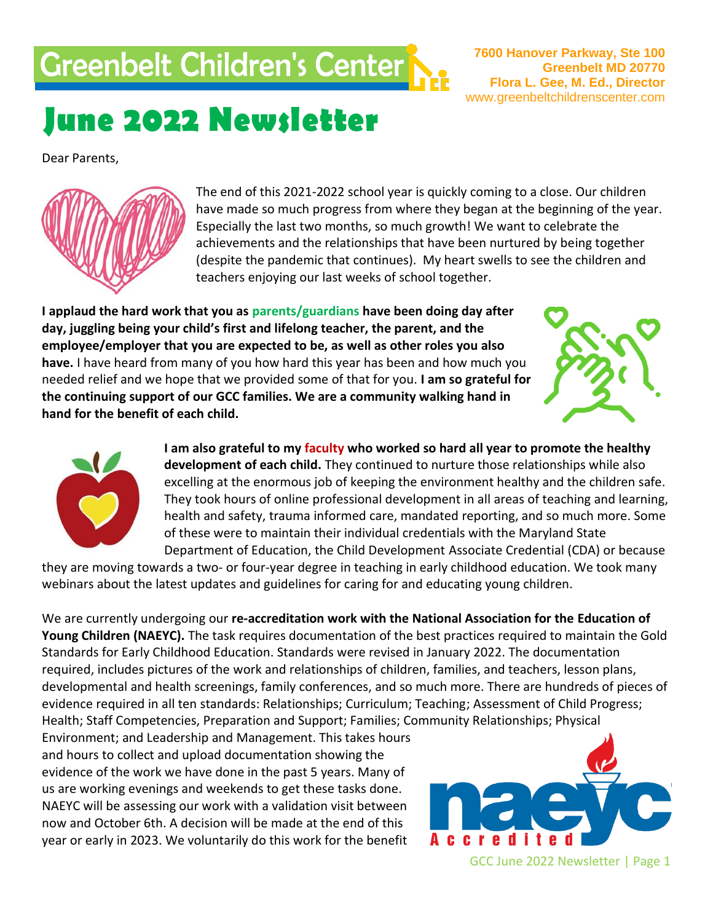# Greenbelt Children's Center

**7600 Hanover Parkway, Ste 100 Greenbelt MD 20770 Flora L. Gee, M. Ed., Director** www.greenbeltchildrenscenter.com

# **June 2022 Newsletter**

Dear Parents, **Dear Parents, and the control of the control of the control of the control of the control of the control of the control of the control of the control of the control of the control of the control of the control of the cont** 



The end of this 2021-2022 school year is quickly coming to a close. Our children have made so much progress from where they began at the beginning of the year. Especially the last two months, so much growth! We want to celebrate the achievements and the relationships that have been nurtured by being together achievements and the relationships that have been nurtured by being together<br>(despite the pandemic that continues). My heart swells to see the children and teachers enjoying our last weeks of school together.

**I applaud the hard work that you as parents/guardians have been doing day after day, juggling being your child's first and lifelong teacher, the parent, and the employee/employer that you are expected to be, as well as other roles you also have.** I have heard from many of you how hard this year has been and how much you needed relief and we hope that we provided some of that for you. **I am so grateful for the continuing support of our GCC families. We are a community walking hand in hand for the benefit of each child.**





**I am also grateful to my faculty who worked so hard all year to promote the healthy development of each child.** They continued to nurture those relationships while also excelling at the enormous job of keeping the environment healthy and the children safe. They took hours of online professional development in all areas of teaching and learning, health and safety, trauma informed care, mandated reporting, and so much more. Some of these were to maintain their individual credentials with the Maryland State Department of Education, the Child Development Associate Credential (CDA) or because

they are moving towards a two- or four-year degree in teaching in early childhood education. We took many webinars about the latest updates and guidelines for caring for and educating young children.

We are currently undergoing our **re-accreditation work with the National Association for the Education of Young Children (NAEYC).** The task requires documentation of the best practices required to maintain the Gold Standards for Early Childhood Education. Standards were revised in January 2022. The documentation required, includes pictures of the work and relationships of children, families, and teachers, lesson plans, developmental and health screenings, family conferences, and so much more. There are hundreds of pieces of evidence required in all ten standards: Relationships; Curriculum; Teaching; Assessment of Child Progress; Health; Staff Competencies, Preparation and Support; Families; Community Relationships; Physical

Environment; and Leadership and Management. This takes hours and hours to collect and upload documentation showing the evidence of the work we have done in the past 5 years. Many of us are working evenings and weekends to get these tasks done. NAEYC will be assessing our work with a validation visit between now and October 6th. A decision will be made at the end of this year or early in 2023. We voluntarily do this work for the benefit

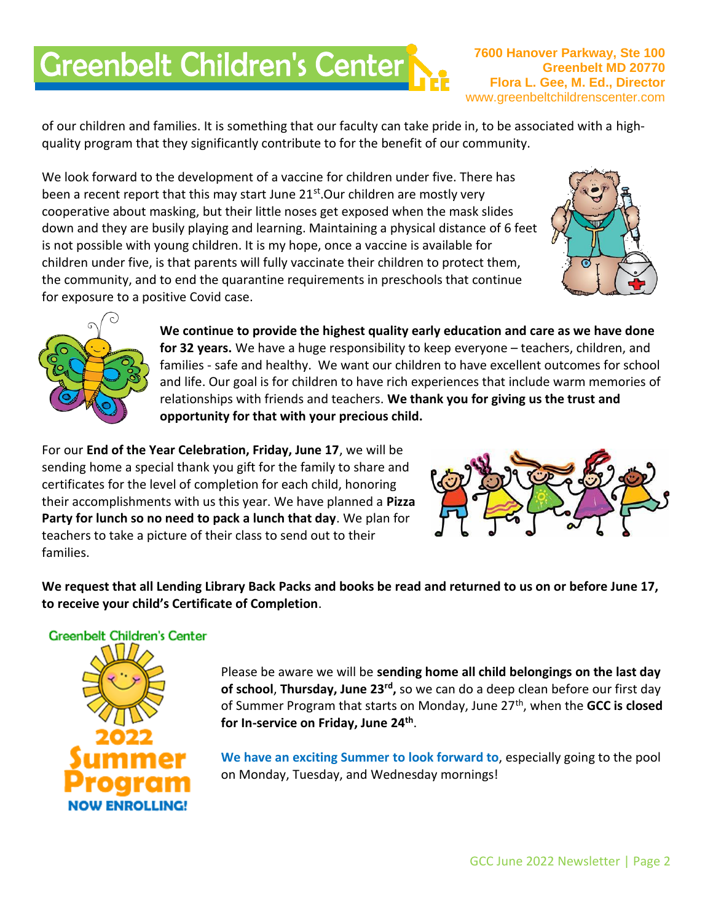# **Greenbelt Children's Center**

**7600 Hanover Parkway, Ste 100 Greenbelt MD 20770 Flora L. Gee, M. Ed., Director** www.greenbeltchildrenscenter.com

of our children and families. It is something that our faculty can take pride in, to be associated with a highquality program that they significantly contribute to for the benefit of our community.

We look forward to the development of a vaccine for children under five. There has been a recent report that this may start June  $21^{st}$ . Our children are mostly very cooperative about masking, but their little noses get exposed when the mask slides down and they are busily playing and learning. Maintaining a physical distance of 6 feet is not possible with young children. It is my hope, once a vaccine is available for children under five, is that parents will fully vaccinate their children to protect them, the community, and to end the quarantine requirements in preschools that continue for exposure to a positive Covid case.





**We continue to provide the highest quality early education and care as we have done for 32 years.** We have a huge responsibility to keep everyone – teachers, children, and families - safe and healthy. We want our children to have excellent outcomes for school and life. Our goal is for children to have rich experiences that include warm memories of relationships with friends and teachers. **We thank you for giving us the trust and opportunity for that with your precious child.**

For our **End of the Year Celebration, Friday, June 17**, we will be sending home a special thank you gift for the family to share and certificates for the level of completion for each child, honoring their accomplishments with us this year. We have planned a **Pizza Party for lunch so no need to pack a lunch that day**. We plan for teachers to take a picture of their class to send out to their families.



**We request that all Lending Library Back Packs and books be read and returned to us on or before June 17, to receive your child's Certificate of Completion**.



Please be aware we will be **sending home all child belongings on the last day of school**, **Thursday, June 23rd ,** so we can do a deep clean before our first day of Summer Program that starts on Monday, June 27th, when the **GCC is closed for In-service on Friday, June 24th** .

**We have an exciting Summer to look forward to**, especially going to the pool on Monday, Tuesday, and Wednesday mornings!